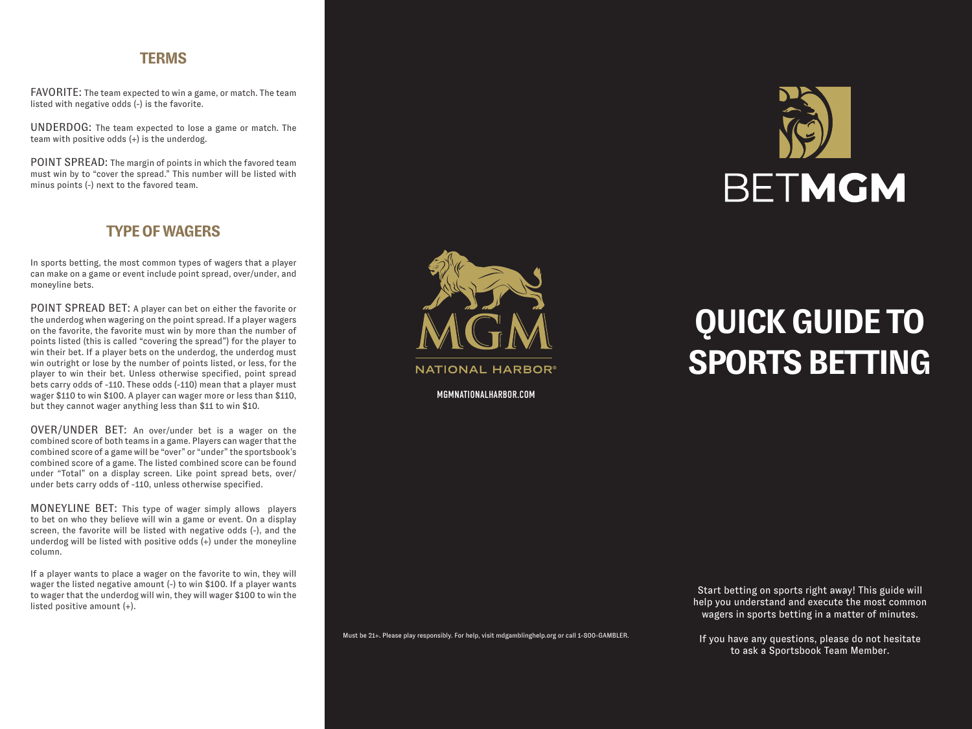### **TERMS**

FAVORITE: The team expected to win a game, or match. The team listed with negative odds (-) is the favorite.

UNDERDOG: The team expected to lose a game or match. The team with positive odds (+) is the underdog.

POINT SPREAD: The margin of points in which the favored team must win by to "cover the spread." This number will be listed with minus points (-) next to the favored team.

# **TYPE OF WAGERS**

In sports betting, the most common types of wagers that a player can make on a game or event include point spread, over/under, and moneyline bets.

POINT SPREAD BET: A player can bet on either the favorite or the underdog when wagering on the point spread. If a player wagers on the favorite, the favorite must win by more than the number of points listed (this is called "covering the spread") for the player to win their bet. If a player bets on the underdog, the underdog must win outright or lose by the number of points listed, or less, for the player to win their bet. Unless otherwise specified, point spread bets carry odds of -110. These odds (-110) mean that a player must wager \$110 to win \$100. A player can wager more or less than \$110, but they cannot wager anything less than \$11 to win \$10.

OVER/UNDER BET: An over/under bet is a wager on the combined score of both teams in a game. Players can wager that the combined score of a game will be "over" or "under" the sportsbook's combined score of a game. The listed combined score can be found under "Total" on a display screen. Like point spread bets, over/ under bets carry odds of -110, unless otherwise specified.

MONEYLINE BET: This type of wager simply allows players to bet on who they believe will win a game or event. On a display screen, the favorite will be listed with negative odds (-), and the underdog will be listed with positive odds  $(+)$  under the moneyline column.

If a player wants to place a wager on the favorite to win, they will wager the listed negative amount (-) to win \$100. If a player wants to wager that the underdog will win, they will wager \$100 to win the listed positive amount (+).

**NATIONAL HARBOR** 

MGMNATIONALHARBOR.COM



# **QUICK GUIDE TO SPORTS BETTING**

Must be 21+. Please play responsibly. For help, visit mdgamblinghelp.org or call 1-800-GAMBLER.

Start betting on sports right away! This guide will help you understand and execute the most common wagers in sports betting in a matter of minutes.

If you have any questions, please do not hesitate to ask a Sportsbook Team Member.